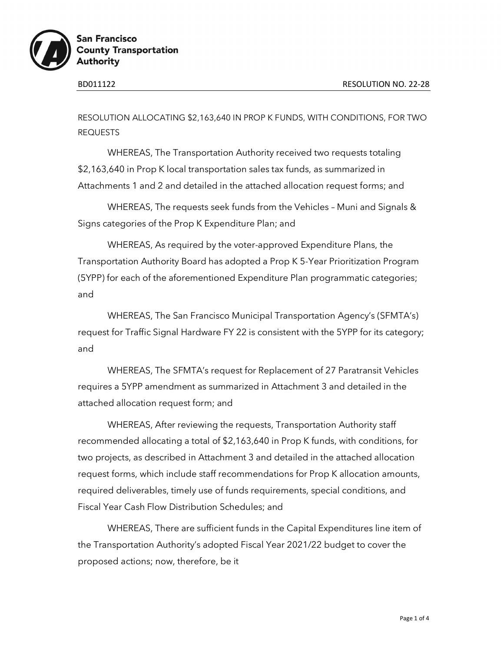

RESOLUTION ALLOCATING \$2,163,640 IN PROP K FUNDS, WITH CONDITIONS, FOR TWO REQUESTS

WHEREAS, The Transportation Authority received two requests totaling \$2,163,640 in Prop K local transportation sales tax funds, as summarized in Attachments 1 and 2 and detailed in the attached allocation request forms; and

WHEREAS, The requests seek funds from the Vehicles – Muni and Signals & Signs categories of the Prop K Expenditure Plan; and

WHEREAS, As required by the voter-approved Expenditure Plans, the Transportation Authority Board has adopted a Prop K 5-Year Prioritization Program (5YPP) for each of the aforementioned Expenditure Plan programmatic categories; and

WHEREAS, The San Francisco Municipal Transportation Agency's (SFMTA's) request for Traffic Signal Hardware FY 22 is consistent with the 5YPP for its category; and

WHEREAS, The SFMTA's request for Replacement of 27 Paratransit Vehicles requires a 5YPP amendment as summarized in Attachment 3 and detailed in the attached allocation request form; and

WHEREAS, After reviewing the requests, Transportation Authority staff recommended allocating a total of \$2,163,640 in Prop K funds, with conditions, for two projects, as described in Attachment 3 and detailed in the attached allocation request forms, which include staff recommendations for Prop K allocation amounts, required deliverables, timely use of funds requirements, special conditions, and Fiscal Year Cash Flow Distribution Schedules; and

WHEREAS, There are sufficient funds in the Capital Expenditures line item of the Transportation Authority's adopted Fiscal Year 2021/22 budget to cover the proposed actions; now, therefore, be it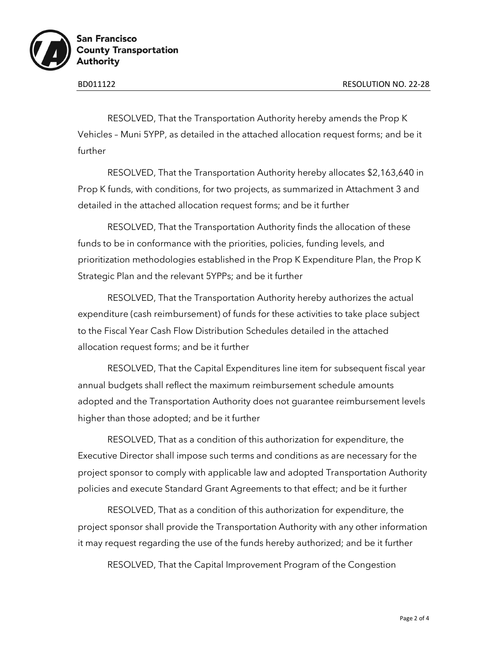

RESOLVED, That the Transportation Authority hereby amends the Prop K Vehicles – Muni 5YPP, as detailed in the attached allocation request forms; and be it further

RESOLVED, That the Transportation Authority hereby allocates \$2,163,640 in Prop K funds, with conditions, for two projects, as summarized in Attachment 3 and detailed in the attached allocation request forms; and be it further

RESOLVED, That the Transportation Authority finds the allocation of these funds to be in conformance with the priorities, policies, funding levels, and prioritization methodologies established in the Prop K Expenditure Plan, the Prop K Strategic Plan and the relevant 5YPPs; and be it further

RESOLVED, That the Transportation Authority hereby authorizes the actual expenditure (cash reimbursement) of funds for these activities to take place subject to the Fiscal Year Cash Flow Distribution Schedules detailed in the attached allocation request forms; and be it further

RESOLVED, That the Capital Expenditures line item for subsequent fiscal year annual budgets shall reflect the maximum reimbursement schedule amounts adopted and the Transportation Authority does not guarantee reimbursement levels higher than those adopted; and be it further

RESOLVED, That as a condition of this authorization for expenditure, the Executive Director shall impose such terms and conditions as are necessary for the project sponsor to comply with applicable law and adopted Transportation Authority policies and execute Standard Grant Agreements to that effect; and be it further

RESOLVED, That as a condition of this authorization for expenditure, the project sponsor shall provide the Transportation Authority with any other information it may request regarding the use of the funds hereby authorized; and be it further

RESOLVED, That the Capital Improvement Program of the Congestion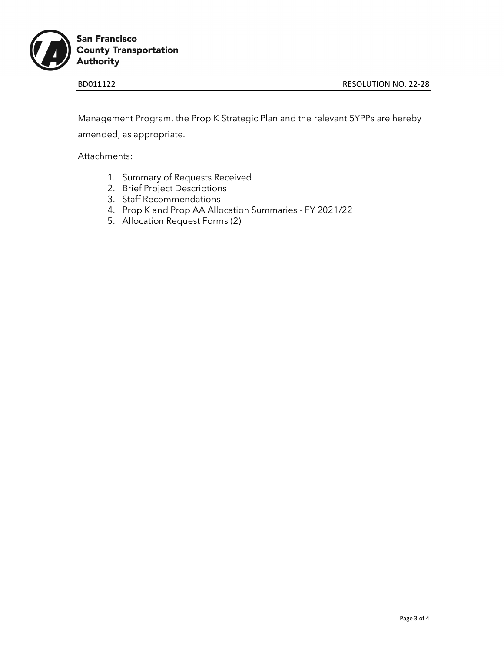

Management Program, the Prop K Strategic Plan and the relevant 5YPPs are hereby amended, as appropriate.

Attachments:

- 1. Summary of Requests Received
- 2. Brief Project Descriptions
- 3. Staff Recommendations
- 4. Prop K and Prop AA Allocation Summaries FY 2021/22
- 5. Allocation Request Forms (2)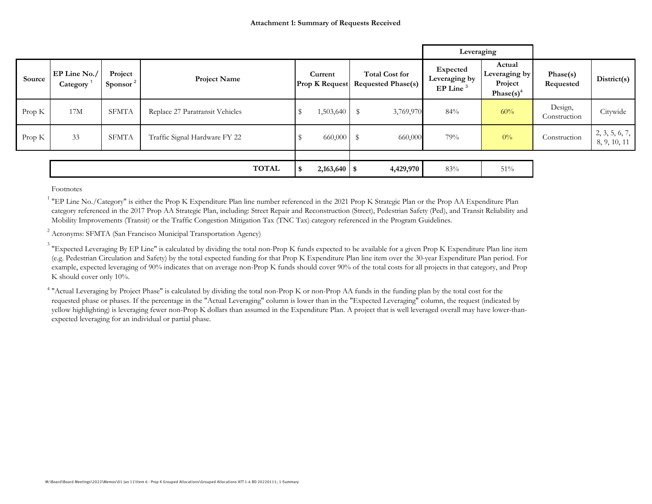|        |                          |                                 |                                 |      |                                  |                                                    | Leveraging                                          |                                                                |                         |                                |
|--------|--------------------------|---------------------------------|---------------------------------|------|----------------------------------|----------------------------------------------------|-----------------------------------------------------|----------------------------------------------------------------|-------------------------|--------------------------------|
| Source | EP Line No./<br>Category | Project<br>Sponsor <sup>2</sup> | <b>Project Name</b>             |      | Current<br><b>Prop K Request</b> | <b>Total Cost for</b><br><b>Requested Phase(s)</b> | Expected<br>Leveraging by<br>$EP$ Line <sup>3</sup> | Actual<br>Leveraging by<br>Project<br>Phase $(s)$ <sup>4</sup> | Phase(s)<br>Requested   | District(s)                    |
| Prop K | 17M                      | <b>SFMTA</b>                    | Replace 27 Paratransit Vehicles |      | 1,503,640                        | $\mathbb{S}$<br>3,769,970                          | 84%                                                 | 60%                                                            | Design,<br>Construction | Citywide                       |
| Prop K | 33                       | <b>SFMTA</b>                    | Traffic Signal Hardware FY 22   |      | 660,000                          | $\mathbb S$<br>660,000                             | 79%                                                 | $0\%$                                                          | Construction            | 2, 3, 5, 6, 7,<br>8, 9, 10, 11 |
|        |                          |                                 |                                 |      |                                  |                                                    |                                                     |                                                                |                         |                                |
|        |                          |                                 | <b>TOTAL</b>                    | - \$ |                                  | 4,429,970                                          | 83%                                                 | $51\%$                                                         |                         |                                |

Footnotes

<sup>1</sup> "EP Line No./Category" is either the Prop K Expenditure Plan line number referenced in the 2021 Prop K Strategic Plan or the Prop AA Expenditure Plan category referenced in the 2017 Prop AA Strategic Plan, including: Street Repair and Reconstruction (Street), Pedestrian Safety (Ped), and Transit Reliability and Mobility Improvements (Transit) or the Traffic Congestion Mitigation Tax (TNC Tax) category referenced in the Program Guidelines.

<sup>2</sup> Acronyms: SFMTA (San Francisco Municipal Transportation Agency)

 $^3$  "Expected Leveraging By EP Line" is calculated by dividing the total non-Prop K funds expected to be available for a given Prop K Expenditure Plan line item (e.g. Pedestrian Circulation and Safety) by the total expected funding for that Prop K Expenditure Plan line item over the 30-year Expenditure Plan period. For example, expected leveraging of 90% indicates that on average non-Prop K funds should cover 90% of the total costs for all projects in that category, and Prop K should cover only 10%.

<sup>4</sup> "Actual Leveraging by Project Phase" is calculated by dividing the total non-Prop K or non-Prop AA funds in the funding plan by the total cost for the requested phase or phases. If the percentage in the "Actual Leveraging" column is lower than in the "Expected Leveraging" column, the request (indicated by yellow highlighting) is leveraging fewer non-Prop K dollars than assumed in the Expenditure Plan. A project that is well leveraged overall may have lower-thanexpected leveraging for an individual or partial phase.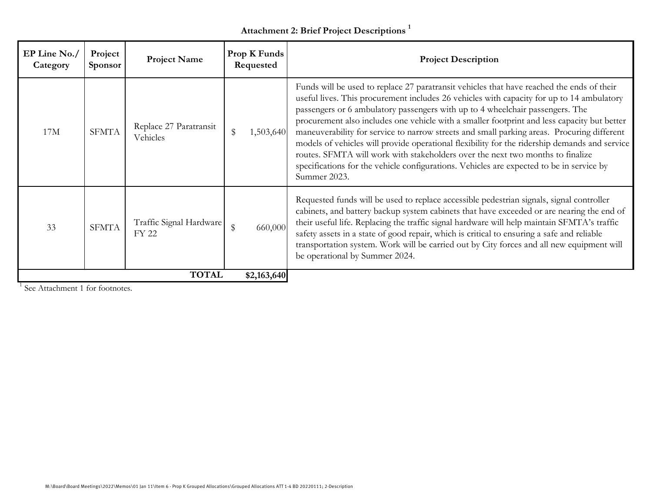## **Attachment 2: Brief Project Descriptions <sup>1</sup>**

| EP Line No./<br>Category | Project<br><b>Sponsor</b> | <b>Project Name</b>                     | Prop K Funds<br>Requested | <b>Project Description</b>                                                                                                                                                                                                                                                                                                                                                                                                                                                                                                                                                                                                                                                                                                                                          |
|--------------------------|---------------------------|-----------------------------------------|---------------------------|---------------------------------------------------------------------------------------------------------------------------------------------------------------------------------------------------------------------------------------------------------------------------------------------------------------------------------------------------------------------------------------------------------------------------------------------------------------------------------------------------------------------------------------------------------------------------------------------------------------------------------------------------------------------------------------------------------------------------------------------------------------------|
| 17M                      | <b>SFMTA</b>              | Replace 27 Paratransit<br>Vehicles      | \$<br>1,503,640           | Funds will be used to replace 27 paratransit vehicles that have reached the ends of their<br>useful lives. This procurement includes 26 vehicles with capacity for up to 14 ambulatory<br>passengers or 6 ambulatory passengers with up to 4 wheelchair passengers. The<br>procurement also includes one vehicle with a smaller footprint and less capacity but better<br>maneuverability for service to narrow streets and small parking areas. Procuring different<br>models of vehicles will provide operational flexibility for the ridership demands and service<br>routes. SFMTA will work with stakeholders over the next two months to finalize<br>specifications for the vehicle configurations. Vehicles are expected to be in service by<br>Summer 2023. |
| 33                       | <b>SFMTA</b>              | Traffic Signal Hardware<br><b>FY 22</b> | 660,000<br>\$             | Requested funds will be used to replace accessible pedestrian signals, signal controller<br>cabinets, and battery backup system cabinets that have exceeded or are nearing the end of<br>their useful life. Replacing the traffic signal hardware will help maintain SFMTA's traffic<br>safety assets in a state of good repair, which is critical to ensuring a safe and reliable<br>transportation system. Work will be carried out by City forces and all new equipment will<br>be operational by Summer 2024.                                                                                                                                                                                                                                                   |
|                          |                           | <b>TOTAL</b>                            | \$2,163,640               |                                                                                                                                                                                                                                                                                                                                                                                                                                                                                                                                                                                                                                                                                                                                                                     |

<sup>1</sup> See Attachment 1 for footnotes.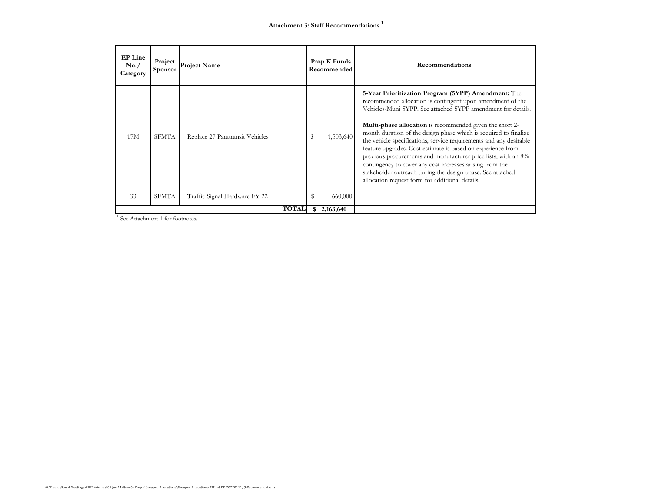| <b>EP</b> Line<br>No. /<br>Category | Project<br>Sponsor | <b>Project Name</b>             |    | Prop K Funds<br>Recommended | Recommendations                                                                                                                                                                                                                                                                                                                                                                                                                                                                                                                                                                                                                                                                                              |
|-------------------------------------|--------------------|---------------------------------|----|-----------------------------|--------------------------------------------------------------------------------------------------------------------------------------------------------------------------------------------------------------------------------------------------------------------------------------------------------------------------------------------------------------------------------------------------------------------------------------------------------------------------------------------------------------------------------------------------------------------------------------------------------------------------------------------------------------------------------------------------------------|
| 17M                                 | <b>SFMTA</b>       | Replace 27 Paratransit Vehicles | s  | 1,503,640                   | 5-Year Prioritization Program (5YPP) Amendment: The<br>recommended allocation is contingent upon amendment of the<br>Vehicles-Muni 5YPP. See attached 5YPP amendment for details.<br><b>Multi-phase allocation</b> is recommended given the short 2-<br>month duration of the design phase which is required to finalize<br>the vehicle specifications, service requirements and any desirable<br>feature upgrades. Cost estimate is based on experience from<br>previous procurements and manufacturer price lists, with an 8%<br>contingency to cover any cost increases arising from the<br>stakeholder outreach during the design phase. See attached<br>allocation request form for additional details. |
| 33                                  | <b>SFMTA</b>       | Traffic Signal Hardware FY 22   | \$ | 660,000                     |                                                                                                                                                                                                                                                                                                                                                                                                                                                                                                                                                                                                                                                                                                              |
|                                     |                    | <b>TOTAL</b>                    | \$ | 2,163,640                   |                                                                                                                                                                                                                                                                                                                                                                                                                                                                                                                                                                                                                                                                                                              |

<sup>1</sup> See Attachment 1 for footnotes.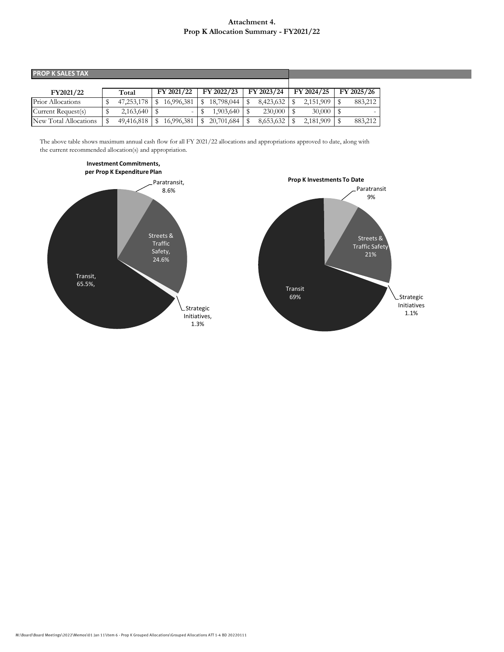#### **Attachment 4. Prop K Allocation Summary - FY2021/22**

| <b>PROP K SALES TAX</b> |            |                          |            |            |            |            |
|-------------------------|------------|--------------------------|------------|------------|------------|------------|
|                         |            |                          |            |            |            |            |
| FY2021/22               | Total      | FY 2021/22               | FY 2022/23 | FY 2023/24 | FY 2024/25 | FY 2025/26 |
| Prior Allocations       | 47,253,178 | 16.996.381               | 18,798,044 | 8,423,632  | 2,151,909  | 883,212    |
| Current Request(s)      | 2,163,640  | $\overline{\phantom{0}}$ | 1,903,640  | 230,000    | 30,000     |            |
| New Total Allocations   | 49,416,818 | 16,996,381               | 20,701,684 | 8,653,632  | 2,181,909  | 883,212    |

The above table shows maximum annual cash flow for all FY 2021/22 allocations and appropriations approved to date, along with the current recommended allocation(s) and appropriation.



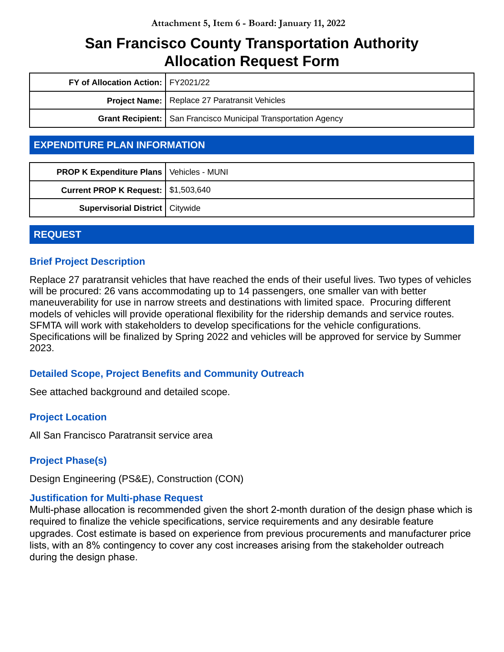| FY of Allocation Action:   FY2021/22 |                                                                         |
|--------------------------------------|-------------------------------------------------------------------------|
|                                      | <b>Project Name:</b> Replace 27 Paratransit Vehicles                    |
|                                      | <b>Grant Recipient:   San Francisco Municipal Transportation Agency</b> |

### **EXPENDITURE PLAN INFORMATION**

| <b>PROP K Expenditure Plans   Vehicles - MUNI</b> |  |
|---------------------------------------------------|--|
| <b>Current PROP K Request:   \$1,503,640</b>      |  |
| <b>Supervisorial District   Citywide</b>          |  |

#### **REQUEST**

#### **Brief Project Description**

Replace 27 paratransit vehicles that have reached the ends of their useful lives. Two types of vehicles will be procured: 26 vans accommodating up to 14 passengers, one smaller van with better maneuverability for use in narrow streets and destinations with limited space. Procuring different models of vehicles will provide operational flexibility for the ridership demands and service routes. SFMTA will work with stakeholders to develop specifications for the vehicle configurations. Specifications will be finalized by Spring 2022 and vehicles will be approved for service by Summer 2023.

#### **Detailed Scope, Project Benefits and Community Outreach**

See attached background and detailed scope.

#### **Project Location**

All San Francisco Paratransit service area

#### **Project Phase(s)**

Design Engineering (PS&E), Construction (CON)

#### **Justification for Multi-phase Request**

Multi-phase allocation is recommended given the short 2-month duration of the design phase which is required to finalize the vehicle specifications, service requirements and any desirable feature upgrades. Cost estimate is based on experience from previous procurements and manufacturer price lists, with an 8% contingency to cover any cost increases arising from the stakeholder outreach during the design phase.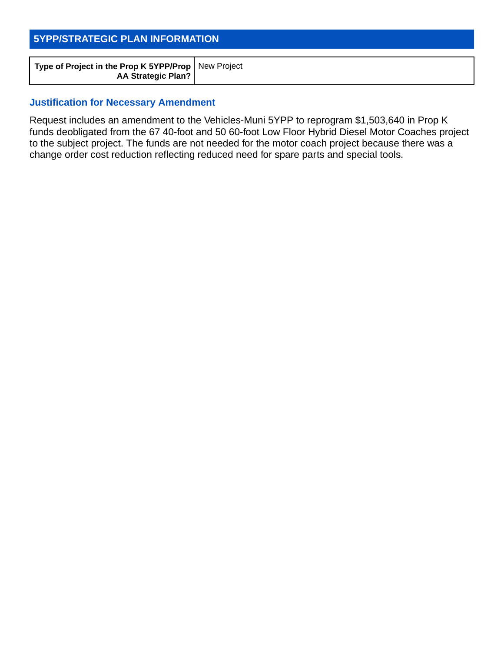### **5YPP/STRATEGIC PLAN INFORMATION**

#### **Justification for Necessary Amendment**

Request includes an amendment to the Vehicles-Muni 5YPP to reprogram \$1,503,640 in Prop K funds deobligated from the 67 40-foot and 50 60-foot Low Floor Hybrid Diesel Motor Coaches project to the subject project. The funds are not needed for the motor coach project because there was a change order cost reduction reflecting reduced need for spare parts and special tools.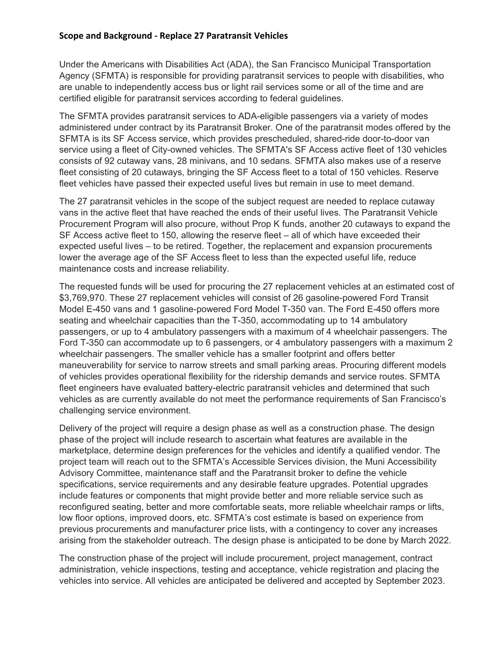#### **Scope and Background ‐ Replace 27 Paratransit Vehicles**

Under the Americans with Disabilities Act (ADA), the San Francisco Municipal Transportation Agency (SFMTA) is responsible for providing paratransit services to people with disabilities, who are unable to independently access bus or light rail services some or all of the time and are certified eligible for paratransit services according to federal guidelines.

The SFMTA provides paratransit services to ADA-eligible passengers via a variety of modes administered under contract by its Paratransit Broker. One of the paratransit modes offered by the SFMTA is its SF Access service, which provides prescheduled, shared-ride door-to-door van service using a fleet of City-owned vehicles. The SFMTA's SF Access active fleet of 130 vehicles consists of 92 cutaway vans, 28 minivans, and 10 sedans. SFMTA also makes use of a reserve fleet consisting of 20 cutaways, bringing the SF Access fleet to a total of 150 vehicles. Reserve fleet vehicles have passed their expected useful lives but remain in use to meet demand.

The 27 paratransit vehicles in the scope of the subject request are needed to replace cutaway vans in the active fleet that have reached the ends of their useful lives. The Paratransit Vehicle Procurement Program will also procure, without Prop K funds, another 20 cutaways to expand the SF Access active fleet to 150, allowing the reserve fleet – all of which have exceeded their expected useful lives – to be retired. Together, the replacement and expansion procurements lower the average age of the SF Access fleet to less than the expected useful life, reduce maintenance costs and increase reliability.

The requested funds will be used for procuring the 27 replacement vehicles at an estimated cost of \$3,769,970. These 27 replacement vehicles will consist of 26 gasoline-powered Ford Transit Model E-450 vans and 1 gasoline-powered Ford Model T-350 van. The Ford E-450 offers more seating and wheelchair capacities than the T-350, accommodating up to 14 ambulatory passengers, or up to 4 ambulatory passengers with a maximum of 4 wheelchair passengers. The Ford T-350 can accommodate up to 6 passengers, or 4 ambulatory passengers with a maximum 2 wheelchair passengers. The smaller vehicle has a smaller footprint and offers better maneuverability for service to narrow streets and small parking areas. Procuring different models of vehicles provides operational flexibility for the ridership demands and service routes. SFMTA fleet engineers have evaluated battery-electric paratransit vehicles and determined that such vehicles as are currently available do not meet the performance requirements of San Francisco's challenging service environment.

Delivery of the project will require a design phase as well as a construction phase. The design phase of the project will include research to ascertain what features are available in the marketplace, determine design preferences for the vehicles and identify a qualified vendor. The project team will reach out to the SFMTA's Accessible Services division, the Muni Accessibility Advisory Committee, maintenance staff and the Paratransit broker to define the vehicle specifications, service requirements and any desirable feature upgrades. Potential upgrades include features or components that might provide better and more reliable service such as reconfigured seating, better and more comfortable seats, more reliable wheelchair ramps or lifts, low floor options, improved doors, etc. SFMTA's cost estimate is based on experience from previous procurements and manufacturer price lists, with a contingency to cover any increases arising from the stakeholder outreach. The design phase is anticipated to be done by March 2022.

The construction phase of the project will include procurement, project management, contract administration, vehicle inspections, testing and acceptance, vehicle registration and placing the vehicles into service. All vehicles are anticipated be delivered and accepted by September 2023.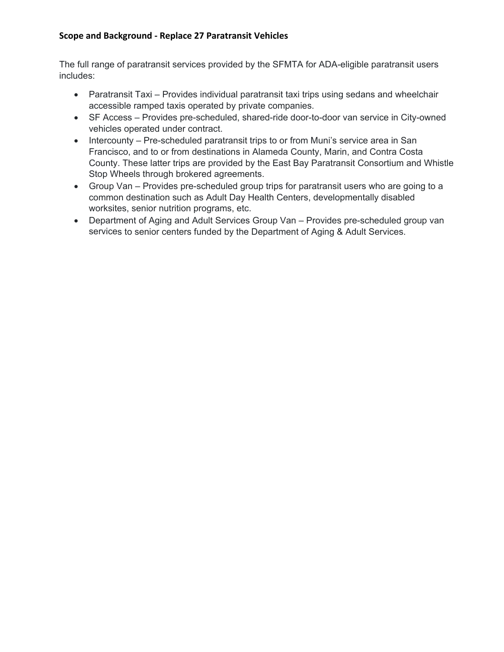#### **Scope and Background ‐ Replace 27 Paratransit Vehicles**

The full range of paratransit services provided by the SFMTA for ADA-eligible paratransit users includes:

- Paratransit Taxi Provides individual paratransit taxi trips using sedans and wheelchair accessible ramped taxis operated by private companies.
- SF Access Provides pre-scheduled, shared-ride door-to-door van service in City-owned vehicles operated under contract.
- Intercounty Pre-scheduled paratransit trips to or from Muni's service area in San Francisco, and to or from destinations in Alameda County, Marin, and Contra Costa County. These latter trips are provided by the East Bay Paratransit Consortium and Whistle Stop Wheels through brokered agreements.
- Group Van Provides pre-scheduled group trips for paratransit users who are going to a common destination such as Adult Day Health Centers, developmentally disabled worksites, senior nutrition programs, etc.
- Department of Aging and Adult Services Group Van Provides pre-scheduled group van services to senior centers funded by the Department of Aging & Adult Services.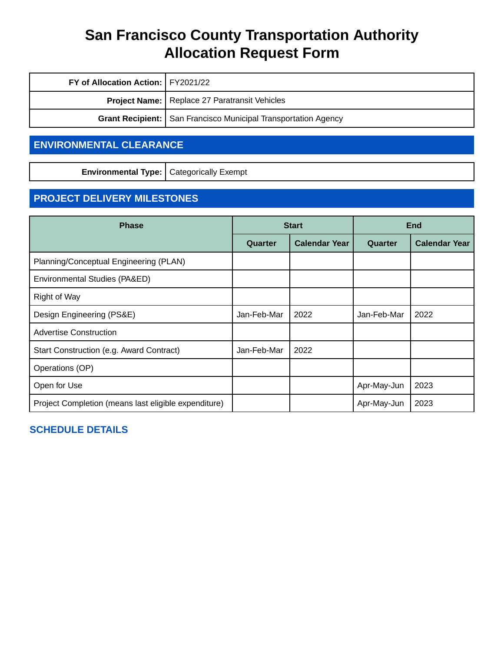| FY of Allocation Action:   FY2021/22 |                                                                  |
|--------------------------------------|------------------------------------------------------------------|
|                                      | <b>Project Name:</b> Replace 27 Paratransit Vehicles             |
|                                      | Grant Recipient:   San Francisco Municipal Transportation Agency |

### **ENVIRONMENTAL CLEARANCE**

**Environmental Type:** Categorically Exempt

### **PROJECT DELIVERY MILESTONES**

| <b>Phase</b>                                         |             | <b>Start</b>         | <b>End</b>  |                      |  |
|------------------------------------------------------|-------------|----------------------|-------------|----------------------|--|
|                                                      | Quarter     | <b>Calendar Year</b> | Quarter     | <b>Calendar Year</b> |  |
| Planning/Conceptual Engineering (PLAN)               |             |                      |             |                      |  |
| Environmental Studies (PA&ED)                        |             |                      |             |                      |  |
| Right of Way                                         |             |                      |             |                      |  |
| Design Engineering (PS&E)                            | Jan-Feb-Mar | 2022                 | Jan-Feb-Mar | 2022                 |  |
| <b>Advertise Construction</b>                        |             |                      |             |                      |  |
| Start Construction (e.g. Award Contract)             | Jan-Feb-Mar | 2022                 |             |                      |  |
| Operations (OP)                                      |             |                      |             |                      |  |
| Open for Use                                         |             |                      | Apr-May-Jun | 2023                 |  |
| Project Completion (means last eligible expenditure) |             |                      | Apr-May-Jun | 2023                 |  |

#### **SCHEDULE DETAILS**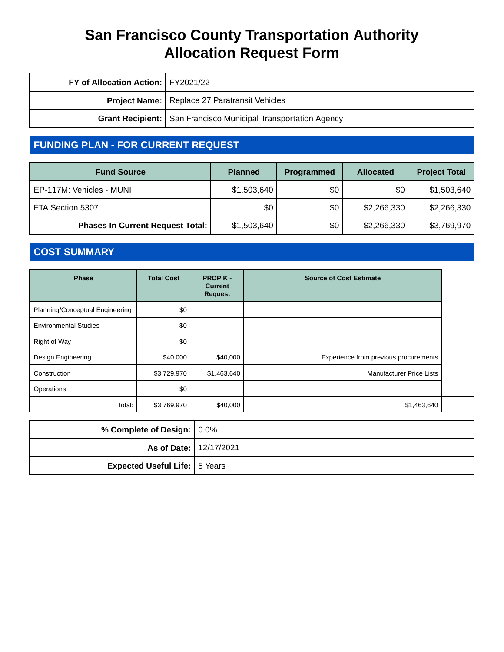| FY of Allocation Action:   FY2021/22 |                                                                  |
|--------------------------------------|------------------------------------------------------------------|
|                                      | <b>Project Name:</b> Replace 27 Paratransit Vehicles             |
|                                      | Grant Recipient:   San Francisco Municipal Transportation Agency |

### **FUNDING PLAN - FOR CURRENT REQUEST**

| <b>Fund Source</b>                      | <b>Planned</b> | Programmed | <b>Allocated</b> | <b>Project Total</b> |
|-----------------------------------------|----------------|------------|------------------|----------------------|
| EP-117M: Vehicles - MUNI                | \$1,503,640    | \$0        | \$0              | \$1,503,640          |
| FTA Section 5307                        | \$0            | \$0        | \$2,266,330      | \$2,266,330          |
| <b>Phases In Current Request Total:</b> | \$1,503,640    | \$0        | \$2,266,330      | \$3,769,970          |

### **COST SUMMARY**

| <b>Phase</b>                    | <b>Total Cost</b> | <b>PROPK-</b><br><b>Current</b><br><b>Request</b> | <b>Source of Cost Estimate</b>        |
|---------------------------------|-------------------|---------------------------------------------------|---------------------------------------|
| Planning/Conceptual Engineering | \$0               |                                                   |                                       |
| <b>Environmental Studies</b>    | \$0               |                                                   |                                       |
| Right of Way                    | \$0               |                                                   |                                       |
| Design Engineering              | \$40,000          | \$40,000                                          | Experience from previous procurements |
| Construction                    | \$3,729,970       | \$1,463,640                                       | <b>Manufacturer Price Lists</b>       |
| Operations                      | \$0               |                                                   |                                       |
| Total:                          | \$3,769,970       | \$40,000                                          | \$1,463,640                           |

| % Complete of Design: 0.0%           |  |
|--------------------------------------|--|
| <b>As of Date: 12/17/2021</b>        |  |
| <b>Expected Useful Life:</b> 5 Years |  |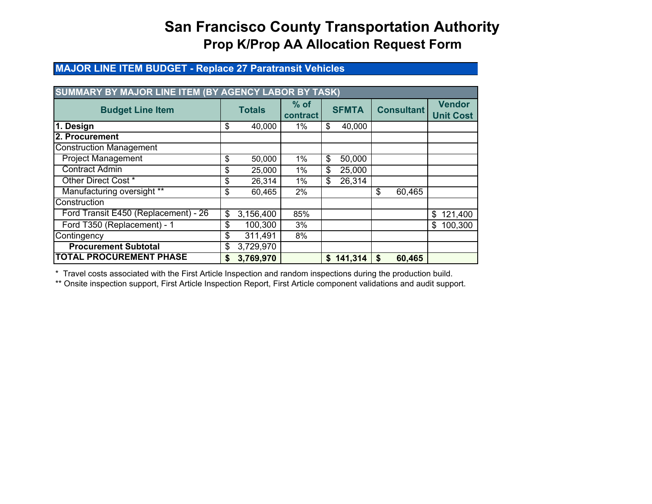#### **MAJOR LINE ITEM BUDGET - Replace 27 Paratransit Vehicles**

| SUMMARY BY MAJOR LINE ITEM (BY AGENCY LABOR BY TASK) |               |           |                    |              |           |    |                   |                                   |
|------------------------------------------------------|---------------|-----------|--------------------|--------------|-----------|----|-------------------|-----------------------------------|
| <b>Budget Line Item</b>                              | <b>Totals</b> |           | $%$ of<br>contract | <b>SFMTA</b> |           |    | <b>Consultant</b> | <b>Vendor</b><br><b>Unit Cost</b> |
| 1. Design                                            | \$            | 40,000    | 1%                 | \$           | 40,000    |    |                   |                                   |
| 2. Procurement                                       |               |           |                    |              |           |    |                   |                                   |
| <b>Construction Management</b>                       |               |           |                    |              |           |    |                   |                                   |
| <b>Project Management</b>                            | \$            | 50,000    | 1%                 | \$           | 50,000    |    |                   |                                   |
| <b>Contract Admin</b>                                | \$            | 25,000    | 1%                 | \$           | 25,000    |    |                   |                                   |
| Other Direct Cost *                                  | \$            | 26,314    | 1%                 | \$           | 26,314    |    |                   |                                   |
| Manufacturing oversight **                           | \$            | 60,465    | 2%                 |              |           | \$ | 60,465            |                                   |
| Construction                                         |               |           |                    |              |           |    |                   |                                   |
| Ford Transit E450 (Replacement) - 26                 | \$            | 3,156,400 | 85%                |              |           |    |                   | 121,400<br>\$                     |
| Ford T350 (Replacement) - 1                          | \$            | 100,300   | 3%                 |              |           |    |                   | 100,300<br>\$                     |
| Contingency                                          | \$            | 311,491   | 8%                 |              |           |    |                   |                                   |
| <b>Procurement Subtotal</b>                          | \$            | 3,729,970 |                    |              |           |    |                   |                                   |
| <b>TOTAL PROCUREMENT PHASE</b>                       | \$            | 3,769,970 |                    |              | \$141,314 | \$ | 60,465            |                                   |

\* Travel costs associated with the First Article Inspection and random inspections during the production build.

\*\* Onsite inspection support, First Article Inspection Report, First Article component validations and audit support.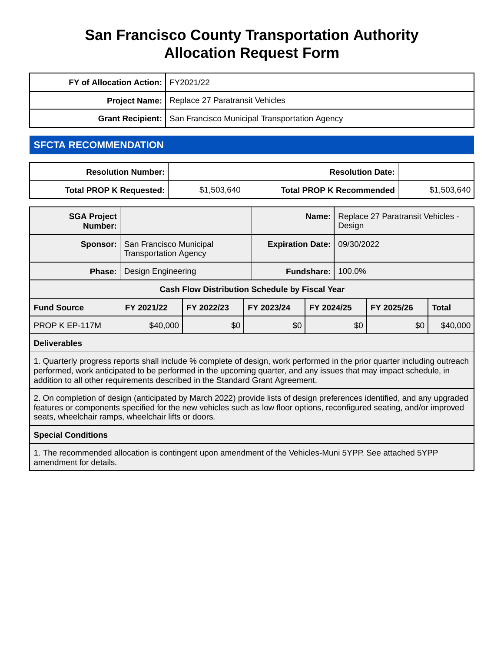| FY of Allocation Action:   FY2021/22 |                                                                         |
|--------------------------------------|-------------------------------------------------------------------------|
|                                      | <b>Project Name:</b>   Replace 27 Paratransit Vehicles                  |
|                                      | <b>Grant Recipient:   San Francisco Municipal Transportation Agency</b> |

### **SFCTA RECOMMENDATION**

| <b>Resolution Number: I</b> |             | <b>Resolution Date: I</b>       |             |
|-----------------------------|-------------|---------------------------------|-------------|
| Total PROP K Requested:     | \$1,503,640 | <b>Total PROP K Recommended</b> | \$1,503,640 |

| <b>SGA Project</b><br>Number:                         |                                                         |                         | Name:             | Design     | Replace 27 Paratransit Vehicles - |            |              |
|-------------------------------------------------------|---------------------------------------------------------|-------------------------|-------------------|------------|-----------------------------------|------------|--------------|
| Sponsor:                                              | San Francisco Municipal<br><b>Transportation Agency</b> | <b>Expiration Date:</b> |                   | 09/30/2022 |                                   |            |              |
| Phase:                                                | Design Engineering                                      |                         | <b>Fundshare:</b> | 100.0%     |                                   |            |              |
| <b>Cash Flow Distribution Schedule by Fiscal Year</b> |                                                         |                         |                   |            |                                   |            |              |
| <b>Fund Source</b>                                    | FY 2021/22                                              | FY 2022/23              | FY 2023/24        | FY 2024/25 |                                   | FY 2025/26 | <b>Total</b> |
| PROP K EP-117M                                        | \$40,000                                                | \$0                     | \$0               |            | \$0                               | \$0        | \$40,000     |

#### **Deliverables**

1. Quarterly progress reports shall include % complete of design, work performed in the prior quarter including outreach performed, work anticipated to be performed in the upcoming quarter, and any issues that may impact schedule, in addition to all other requirements described in the Standard Grant Agreement.

2. On completion of design (anticipated by March 2022) provide lists of design preferences identified, and any upgraded features or components specified for the new vehicles such as low floor options, reconfigured seating, and/or improved seats, wheelchair ramps, wheelchair lifts or doors.

#### **Special Conditions**

1. The recommended allocation is contingent upon amendment of the Vehicles-Muni 5YPP. See attached 5YPP amendment for details.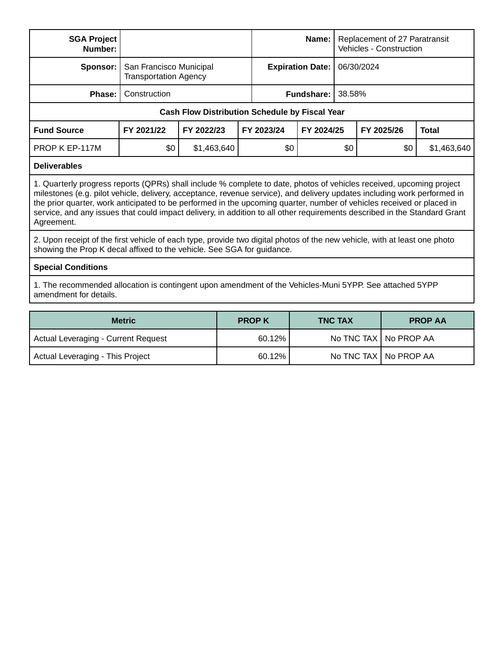| <b>SGA Project</b><br>Number:                                                                                                                                                                                                                                                                                                                                                                                                                                                                                        |                                                         |                                                       | Name:                   |            | Replacement of 27 Paratransit<br><b>Vehicles - Construction</b> |            |              |
|----------------------------------------------------------------------------------------------------------------------------------------------------------------------------------------------------------------------------------------------------------------------------------------------------------------------------------------------------------------------------------------------------------------------------------------------------------------------------------------------------------------------|---------------------------------------------------------|-------------------------------------------------------|-------------------------|------------|-----------------------------------------------------------------|------------|--------------|
| Sponsor:                                                                                                                                                                                                                                                                                                                                                                                                                                                                                                             | San Francisco Municipal<br><b>Transportation Agency</b> |                                                       | <b>Expiration Date:</b> |            | 06/30/2024                                                      |            |              |
| Phase:                                                                                                                                                                                                                                                                                                                                                                                                                                                                                                               | Construction                                            |                                                       |                         | Fundshare: | 38.58%                                                          |            |              |
|                                                                                                                                                                                                                                                                                                                                                                                                                                                                                                                      |                                                         | <b>Cash Flow Distribution Schedule by Fiscal Year</b> |                         |            |                                                                 |            |              |
| <b>Fund Source</b>                                                                                                                                                                                                                                                                                                                                                                                                                                                                                                   | FY 2021/22                                              | FY 2022/23                                            | FY 2023/24              | FY 2024/25 |                                                                 | FY 2025/26 | <b>Total</b> |
| PROP K EP-117M                                                                                                                                                                                                                                                                                                                                                                                                                                                                                                       | \$0                                                     | \$1,463,640                                           | \$0                     | \$0        |                                                                 | \$0        | \$1,463,640  |
| <b>Deliverables</b>                                                                                                                                                                                                                                                                                                                                                                                                                                                                                                  |                                                         |                                                       |                         |            |                                                                 |            |              |
| 1. Quarterly progress reports (QPRs) shall include % complete to date, photos of vehicles received, upcoming project<br>milestones (e.g. pilot vehicle, delivery, acceptance, revenue service), and delivery updates including work performed in<br>the prior quarter, work anticipated to be performed in the upcoming quarter, number of vehicles received or placed in<br>service, and any issues that could impact delivery, in addition to all other requirements described in the Standard Grant<br>Agreement. |                                                         |                                                       |                         |            |                                                                 |            |              |
| 2. Upon receipt of the first vehicle of each type, provide two digital photos of the new vehicle, with at least one photo<br>showing the Prop K decal affixed to the vehicle. See SGA for guidance.                                                                                                                                                                                                                                                                                                                  |                                                         |                                                       |                         |            |                                                                 |            |              |
| <b>Special Conditions</b>                                                                                                                                                                                                                                                                                                                                                                                                                                                                                            |                                                         |                                                       |                         |            |                                                                 |            |              |
| 1. The recommended allocation is contingent upon amendment of the Vehicles-Muni 5YPP. See attached 5YPP<br>amendment for details.                                                                                                                                                                                                                                                                                                                                                                                    |                                                         |                                                       |                         |            |                                                                 |            |              |

| <b>Metric</b>                       | <b>PROPK</b> | <b>TNC TAX</b> | <b>PROP AA</b>          |
|-------------------------------------|--------------|----------------|-------------------------|
| Actual Leveraging - Current Request | $60.12\%$    |                | No TNC TAX   No PROP AA |
| Actual Leveraging - This Project    | $60.12\%$    |                | No TNC TAX   No PROP AA |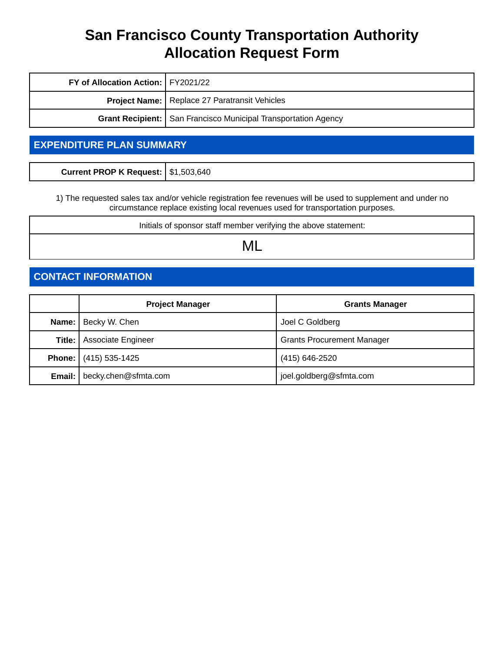| FY of Allocation Action:   FY2021/22 |                                                                  |  |  |  |
|--------------------------------------|------------------------------------------------------------------|--|--|--|
|                                      | <b>Project Name:</b>   Replace 27 Paratransit Vehicles           |  |  |  |
|                                      | Grant Recipient:   San Francisco Municipal Transportation Agency |  |  |  |

### **EXPENDITURE PLAN SUMMARY**

| Current PROP K Request: \$1,503,640 |  |
|-------------------------------------|--|
|-------------------------------------|--|

1) The requested sales tax and/or vehicle registration fee revenues will be used to supplement and under no circumstance replace existing local revenues used for transportation purposes.

Initials of sponsor staff member verifying the above statement:

ML

### **CONTACT INFORMATION**

|        | <b>Project Manager</b>               | <b>Grants Manager</b>             |
|--------|--------------------------------------|-----------------------------------|
|        | <b>Name:</b>   Becky W. Chen         | Joel C Goldberg                   |
| Title: | <b>Associate Engineer</b>            | <b>Grants Procurement Manager</b> |
|        | <b>Phone:</b> (415) 535-1425         | (415) 646-2520                    |
|        | <b>Email:</b>   becky.chen@sfmta.com | joel.goldberg@sfmta.com           |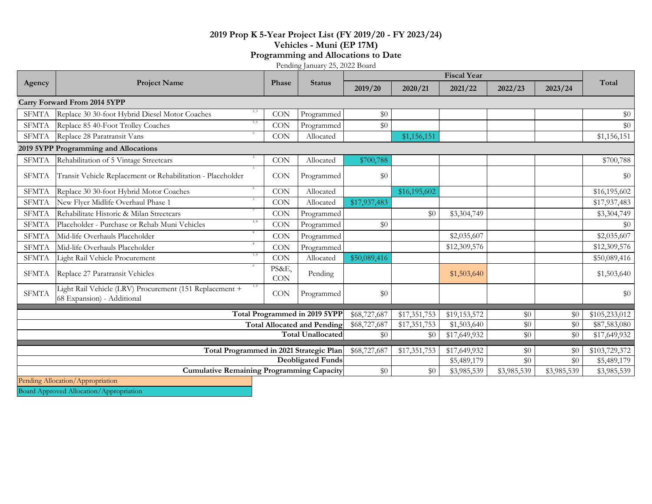#### **2019 Prop K 5-Year Project List (FY 2019/20 - FY 2023/24) Vehicles - Muni (EP 17M) Programming and Allocations to Date**

Pending January 25, 2022 Board

|                                    |                                                                                               |                     |                               | <b>Fiscal Year</b> |              |              |             |              |               |
|------------------------------------|-----------------------------------------------------------------------------------------------|---------------------|-------------------------------|--------------------|--------------|--------------|-------------|--------------|---------------|
| Agency                             | <b>Project Name</b>                                                                           | Phase               | <b>Status</b>                 | 2019/20            | 2020/21      | 2021/22      | 2022/23     | 2023/24      | Total         |
|                                    | Carry Forward From 2014 5YPP                                                                  |                     |                               |                    |              |              |             |              |               |
| <b>SFMTA</b>                       | Replace 30 30-foot Hybrid Diesel Motor Coaches                                                | <b>CON</b>          | Programmed                    | \$0                |              |              |             |              | \$0           |
| <b>SFMTA</b>                       | 5, 6<br>Replace 85 40-Foot Trolley Coaches                                                    | <b>CON</b>          | Programmed                    | \$0                |              |              |             |              | \$0           |
| <b>SFMTA</b>                       | Replace 28 Paratransit Vans                                                                   | <b>CON</b>          | Allocated                     |                    | \$1,156,151  |              |             |              | \$1,156,151   |
|                                    | 2019 5YPP Programming and Allocations                                                         |                     |                               |                    |              |              |             |              |               |
| <b>SFMTA</b>                       | Rehabilitation of 5 Vintage Streetcars                                                        | <b>CON</b>          | Allocated                     | \$700,788          |              |              |             |              | \$700,788     |
| <b>SFMTA</b>                       | Transit Vehicle Replacement or Rehabilitation - Placeholder                                   | CON                 | Programmed                    | \$0                |              |              |             |              | \$0           |
| <b>SFMTA</b>                       | 6<br>Replace 30 30-foot Hybrid Motor Coaches                                                  | <b>CON</b>          | Allocated                     |                    | \$16,195,602 |              |             |              | \$16,195,602  |
| <b>SFMTA</b>                       | New Flyer Midlife Overhaul Phase 1                                                            | <b>CON</b>          | Allocated                     | \$17,937,483       |              |              |             |              | \$17,937,483  |
| <b>SFMTA</b>                       | Rehabilitate Historic & Milan Streetcars                                                      | <b>CON</b>          | Programmed                    |                    | \$0          | \$3,304,749  |             |              | \$3,304,749   |
| <b>SFMTA</b>                       | 4, 8<br>Placeholder - Purchase or Rehab Muni Vehicles                                         | <b>CON</b>          | Programmed                    | \$0                |              |              |             |              | \$0           |
| <b>SFMTA</b>                       | Mid-life Overhauls Placeholder                                                                | <b>CON</b>          | Programmed                    |                    |              | \$2,035,607  |             |              | \$2,035,607   |
| <b>SFMTA</b>                       | Mid-life Overhauls Placeholder                                                                | <b>CON</b>          | Programmed                    |                    |              | \$12,309,576 |             |              | \$12,309,576  |
| <b>SFMTA</b>                       | 1, 4<br>Light Rail Vehicle Procurement                                                        | <b>CON</b>          | Allocated                     | \$50,089,416       |              |              |             |              | \$50,089,416  |
| <b>SFMTA</b>                       | Replace 27 Paratransit Vehicles                                                               | PS&E,<br><b>CON</b> | Pending                       |                    |              | \$1,503,640  |             |              | \$1,503,640   |
| <b>SFMTA</b>                       | 1, 4<br>Light Rail Vehicle (LRV) Procurement (151 Replacement +<br>68 Expansion) - Additional | <b>CON</b>          | Programmed                    | \$0                |              |              |             |              | \$0           |
|                                    |                                                                                               |                     | Total Programmed in 2019 5YPP | \$68,727,687       | \$17,351,753 | \$19,153,572 | \$0         | \$0          | \$105,233,012 |
| <b>Total Allocated and Pending</b> |                                                                                               |                     | \$68,727,687                  | \$17,351,753       | \$1,503,640  | \$0          | \$0         | \$87,583,080 |               |
|                                    |                                                                                               |                     | <b>Total Unallocated</b>      | \$0                | \$0          | \$17,649,932 | \$0         | \$0          | \$17,649,932  |
|                                    |                                                                                               |                     |                               | \$68,727,687       | \$17,351,753 | \$17,649,932 | \$0         | \$0          | \$103,729,372 |
|                                    | Total Programmed in 2021 Strategic Plan<br><b>Deobligated Funds</b>                           |                     |                               |                    |              | \$5,489,179  | \$0         | \$0          | \$5,489,179   |
|                                    | <b>Cumulative Remaining Programming Capacity</b>                                              |                     |                               | \$0                | \$0          | \$3,985,539  | \$3,985,539 | \$3,985,539  | \$3,985,539   |
|                                    | Pending Allocation/Appropriation                                                              |                     |                               |                    |              |              |             |              |               |

Board Approved Allocation/Appropriation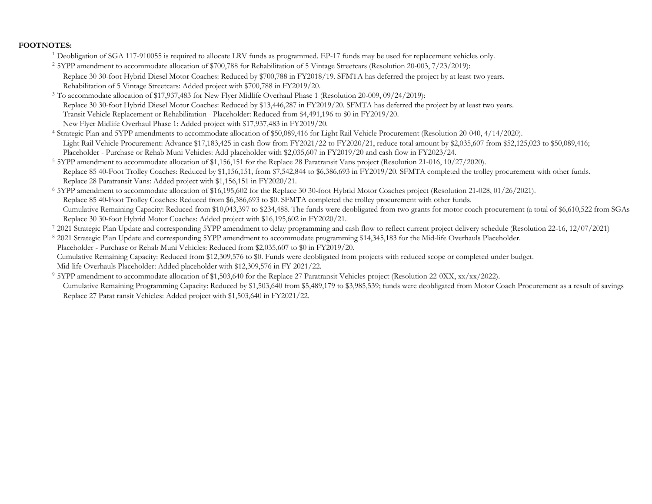#### **FOOTNOTES:**

- <sup>1</sup> Deobligation of SGA 117-910055 is required to allocate LRV funds as programmed. EP-17 funds may be used for replacement vehicles only.
- <sup>2</sup> 5YPP amendment to accommodate allocation of \$700,788 for Rehabilitation of 5 Vintage Streetcars (Resolution 20-003, 7/23/2019): Replace 30 30-foot Hybrid Diesel Motor Coaches: Reduced by \$700,788 in FY2018/19. SFMTA has deferred the project by at least two years. Rehabilitation of 5 Vintage Streetcars: Added project with \$700,788 in FY2019/20.
- 3 To accommodate allocation of \$17,937,483 for New Flyer Midlife Overhaul Phase 1 (Resolution 20-009, 09/24/2019): Replace 30 30-foot Hybrid Diesel Motor Coaches: Reduced by \$13,446,287 in FY2019/20. SFMTA has deferred the project by at least two years. Transit Vehicle Replacement or Rehabilitation - Placeholder: Reduced from \$4,491,196 to \$0 in FY2019/20. New Flyer Midlife Overhaul Phase 1: Added project with \$17,937,483 in FY2019/20.

4 Strategic Plan and 5YPP amendments to accommodate allocation of \$50,089,416 for Light Rail Vehicle Procurement (Resolution 20-040, 4/14/2020). Light Rail Vehicle Procurement: Advance \$17,183,425 in cash flow from FY2021/22 to FY2020/21, reduce total amount by \$2,035,607 from \$52,125,023 to \$50,089,416; Placeholder - Purchase or Rehab Muni Vehicles: Add placeholder with \$2,035,607 in FY2019/20 and cash flow in FY2023/24.

- 5 5YPP amendment to accommodate allocation of \$1,156,151 for the Replace 28 Paratransit Vans project (Resolution 21-016, 10/27/2020). Replace 85 40-Foot Trolley Coaches: Reduced by \$1,156,151, from \$7,542,844 to \$6,386,693 in FY2019/20. SFMTA completed the trolley procurement with other funds. Replace 28 Paratransit Vans: Added project with \$1,156,151 in FY2020/21.
- 6 5YPP amendment to accommodate allocation of \$16,195,602 for the Replace 30 30-foot Hybrid Motor Coaches project (Resolution 21-028, 01/26/2021). Replace 85 40-Foot Trolley Coaches: Reduced from \$6,386,693 to \$0. SFMTA completed the trolley procurement with other funds. Cumulative Remaining Capacity: Reduced from \$10,043,397 to \$234,488. The funds were deobligated from two grants for motor coach procurement (a total of \$6,610,522 from SGAs Replace 30 30-foot Hybrid Motor Coaches: Added project with \$16,195,602 in FY2020/21.
- 7 2021 Strategic Plan Update and corresponding 5YPP amendment to delay programming and cash flow to reflect current project delivery schedule (Resolution 22-16, 12/07/2021)
- 8 2021 Strategic Plan Update and corresponding 5YPP amendment to accommodate programming \$14,345,183 for the Mid-life Overhauls Placeholder.
- Placeholder Purchase or Rehab Muni Vehicles: Reduced from \$2,035,607 to \$0 in FY2019/20.

Cumulative Remaining Capacity: Reduced from \$12,309,576 to \$0. Funds were deobligated from projects with reduced scope or completed under budget.

- Mid-life Overhauls Placeholder: Added placeholder with \$12,309,576 in FY 2021/22.
- 9 5YPP amendment to accommodate allocation of \$1,503,640 for the Replace 27 Paratransit Vehicles project (Resolution 22-0XX, xx/xx/2022). Replace 27 Parat ransit Vehicles: Added project with \$1,503,640 in FY2021/22. Cumulative Remaining Programming Capacity: Reduced by \$1,503,640 from \$5,489,179 to \$3,985,539; funds were deobligated from Motor Coach Procurement as a result of savings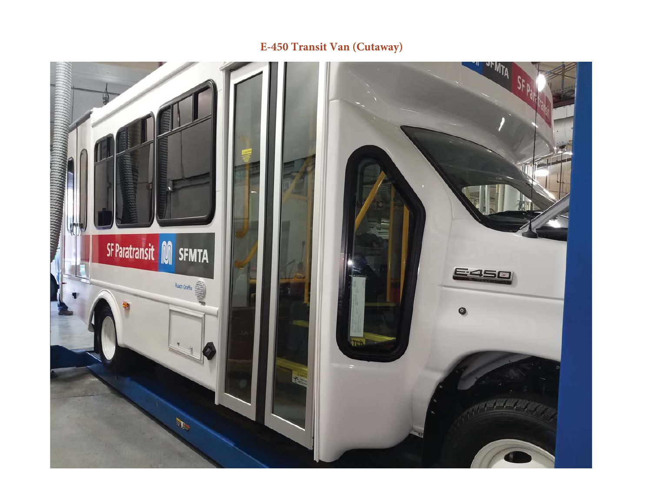### **E-450 Transit Van (Cutaway)**

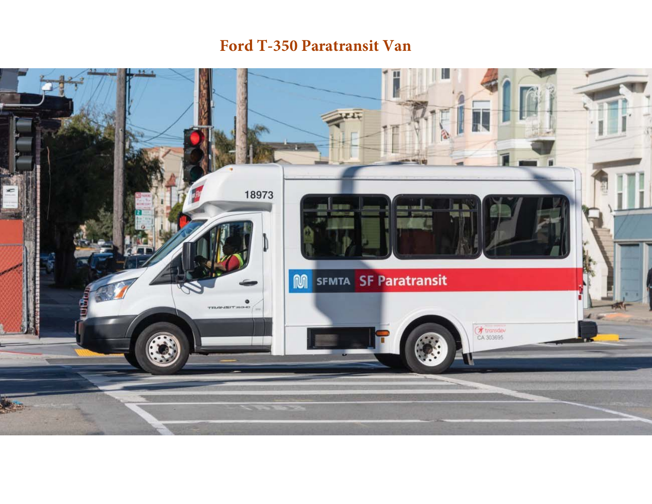## **Ford T-350 Paratransit Van**

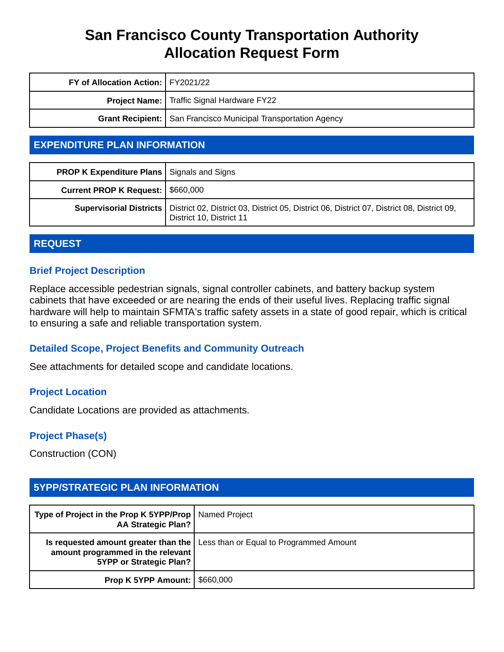| FY of Allocation Action:   FY2021/22 |                                                                  |
|--------------------------------------|------------------------------------------------------------------|
|                                      | <b>Project Name:</b> Traffic Signal Hardware FY22                |
|                                      | Grant Recipient:   San Francisco Municipal Transportation Agency |

### **EXPENDITURE PLAN INFORMATION**

| <b>PROP K Expenditure Plans   Signals and Signs</b> |                                                                                                                                                  |
|-----------------------------------------------------|--------------------------------------------------------------------------------------------------------------------------------------------------|
| Current PROP K Request:   \$660,000                 |                                                                                                                                                  |
|                                                     | Supervisorial Districts   District 02, District 03, District 05, District 06, District 07, District 08, District 09,<br>District 10, District 11 |

#### **REQUEST**

#### **Brief Project Description**

Replace accessible pedestrian signals, signal controller cabinets, and battery backup system cabinets that have exceeded or are nearing the ends of their useful lives. Replacing traffic signal hardware will help to maintain SFMTA's traffic safety assets in a state of good repair, which is critical to ensuring a safe and reliable transportation system.

#### **Detailed Scope, Project Benefits and Community Outreach**

See attachments for detailed scope and candidate locations.

#### **Project Location**

Candidate Locations are provided as attachments.

#### **Project Phase(s)**

Construction (CON)

### **5YPP/STRATEGIC PLAN INFORMATION**

| Type of Project in the Prop K 5YPP/Prop   Named Project<br><b>AA Strategic Plan?</b> |                                                                                       |
|--------------------------------------------------------------------------------------|---------------------------------------------------------------------------------------|
| amount programmed in the relevant<br>5YPP or Strategic Plan?                         | <b>Is requested amount greater than the   Less than or Equal to Programmed Amount</b> |
| <b>Prop K 5YPP Amount:   \$660,000</b>                                               |                                                                                       |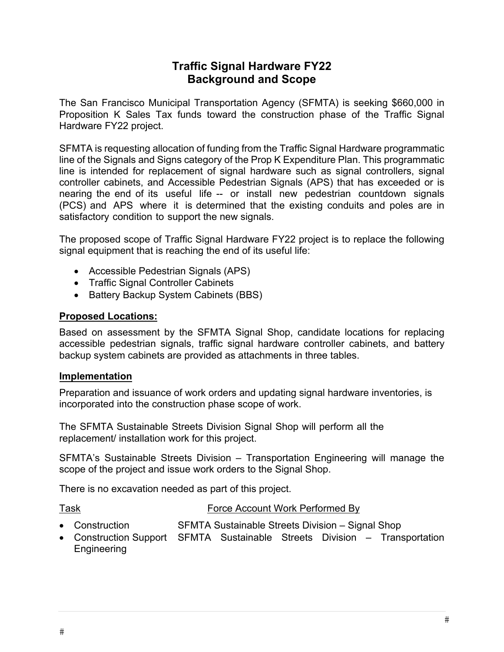### **Traffic Signal Hardware FY22 Background and Scope**

The San Francisco Municipal Transportation Agency (SFMTA) is seeking \$660,000 in Proposition K Sales Tax funds toward the construction phase of the Traffic Signal Hardware FY22 project.

SFMTA is requesting allocation of funding from the Traffic Signal Hardware programmatic line of the Signals and Signs category of the Prop K Expenditure Plan. This programmatic line is intended for replacement of signal hardware such as signal controllers, signal controller cabinets, and Accessible Pedestrian Signals (APS) that has exceeded or is nearing the end of its useful life -- or install new pedestrian countdown signals (PCS) and APS where it is determined that the existing conduits and poles are in satisfactory condition to support the new signals.

The proposed scope of Traffic Signal Hardware FY22 project is to replace the following signal equipment that is reaching the end of its useful life:

- Accessible Pedestrian Signals (APS)
- Traffic Signal Controller Cabinets
- Battery Backup System Cabinets (BBS)

#### **Proposed Locations:**

Based on assessment by the SFMTA Signal Shop, candidate locations for replacing accessible pedestrian signals, traffic signal hardware controller cabinets, and battery backup system cabinets are provided as attachments in three tables.

#### **Implementation**

Preparation and issuance of work orders and updating signal hardware inventories, is incorporated into the construction phase scope of work.

The SFMTA Sustainable Streets Division Signal Shop will perform all the replacement/ installation work for this project.

SFMTA's Sustainable Streets Division – Transportation Engineering will manage the scope of the project and issue work orders to the Signal Shop.

There is no excavation needed as part of this project.

- Task Force Account Work Performed By
- Construction SFMTA Sustainable Streets Division Signal Shop
- Construction Support SFMTA Sustainable Streets Division Transportation Engineering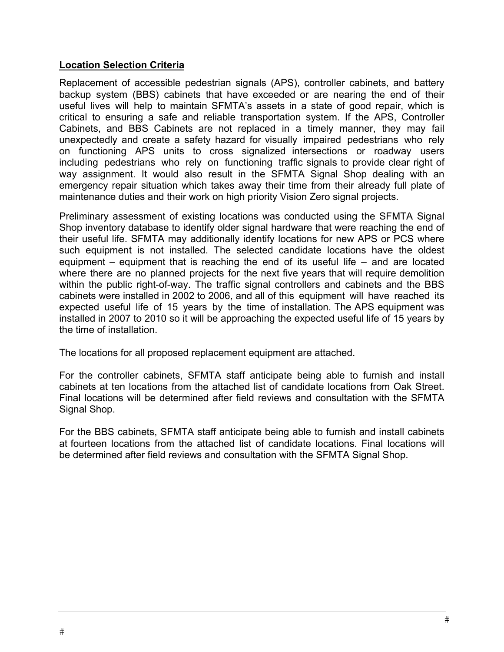#### **Location Selection Criteria**

Replacement of accessible pedestrian signals (APS), controller cabinets, and battery backup system (BBS) cabinets that have exceeded or are nearing the end of their useful lives will help to maintain SFMTA's assets in a state of good repair, which is critical to ensuring a safe and reliable transportation system. If the APS, Controller Cabinets, and BBS Cabinets are not replaced in a timely manner, they may fail unexpectedly and create a safety hazard for visually impaired pedestrians who rely on functioning APS units to cross signalized intersections or roadway users including pedestrians who rely on functioning traffic signals to provide clear right of way assignment. It would also result in the SFMTA Signal Shop dealing with an emergency repair situation which takes away their time from their already full plate of maintenance duties and their work on high priority Vision Zero signal projects.

Preliminary assessment of existing locations was conducted using the SFMTA Signal Shop inventory database to identify older signal hardware that were reaching the end of their useful life. SFMTA may additionally identify locations for new APS or PCS where such equipment is not installed. The selected candidate locations have the oldest equipment – equipment that is reaching the end of its useful life – and are located where there are no planned projects for the next five years that will require demolition within the public right-of-way. The traffic signal controllers and cabinets and the BBS cabinets were installed in 2002 to 2006, and all of this equipment will have reached its expected useful life of 15 years by the time of installation. The APS equipment was installed in 2007 to 2010 so it will be approaching the expected useful life of 15 years by the time of installation.

The locations for all proposed replacement equipment are attached.

For the controller cabinets, SFMTA staff anticipate being able to furnish and install cabinets at ten locations from the attached list of candidate locations from Oak Street. Final locations will be determined after field reviews and consultation with the SFMTA Signal Shop.

For the BBS cabinets, SFMTA staff anticipate being able to furnish and install cabinets at fourteen locations from the attached list of candidate locations. Final locations will be determined after field reviews and consultation with the SFMTA Signal Shop.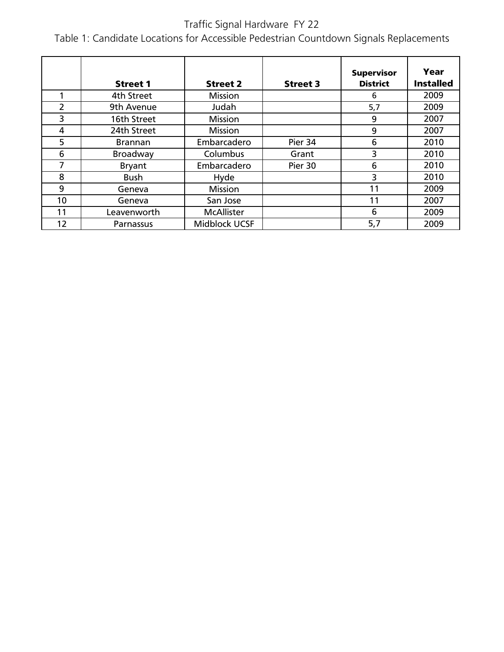### Traffic Signal Hardware FY 22

Table 1: Candidate Locations for Accessible Pedestrian Countdown Signals Replacements

|                | <b>Street 1</b> | <b>Street 2</b>   | <b>Street 3</b> | <b>Supervisor</b><br><b>District</b> | Year<br><b>Installed</b> |
|----------------|-----------------|-------------------|-----------------|--------------------------------------|--------------------------|
|                | 4th Street      | <b>Mission</b>    |                 | 6                                    | 2009                     |
| $\overline{2}$ | 9th Avenue      | Judah             |                 | 5,7                                  | 2009                     |
| 3              | 16th Street     | <b>Mission</b>    |                 | 9                                    | 2007                     |
| 4              | 24th Street     | <b>Mission</b>    |                 | 9                                    | 2007                     |
| 5              | <b>Brannan</b>  | Embarcadero       | Pier 34         | 6                                    | 2010                     |
| 6              | Broadway        | Columbus          | Grant           | 3                                    | 2010                     |
| 7              | <b>Bryant</b>   | Embarcadero       | Pier 30         | 6                                    | 2010                     |
| 8              | <b>Bush</b>     | Hyde              |                 | 3                                    | 2010                     |
| 9              | Geneva          | <b>Mission</b>    |                 | 11                                   | 2009                     |
| 10             | Geneva          | San Jose          |                 | 11                                   | 2007                     |
| 11             | Leavenworth     | <b>McAllister</b> |                 | 6                                    | 2009                     |
| 12             | Parnassus       | Midblock UCSF     |                 | 5,7                                  | 2009                     |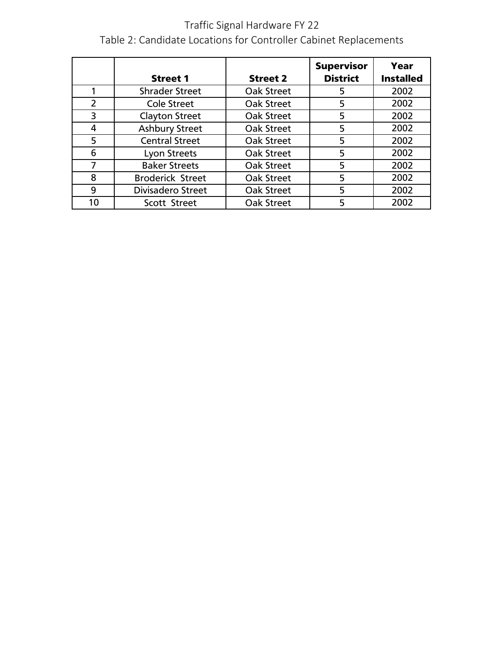### Traffic Signal Hardware FY 22 Table 2: Candidate Locations for Controller Cabinet Replacements

|                |                         |                   | <b>Supervisor</b> | Year             |
|----------------|-------------------------|-------------------|-------------------|------------------|
|                | <b>Street 1</b>         | <b>Street 2</b>   | <b>District</b>   | <b>Installed</b> |
|                | <b>Shrader Street</b>   | Oak Street        | 5                 | 2002             |
| $\overline{2}$ | <b>Cole Street</b>      | Oak Street        | 5                 | 2002             |
| 3              | <b>Clayton Street</b>   | Oak Street        | 5                 | 2002             |
| 4              | <b>Ashbury Street</b>   | Oak Street        | 5                 | 2002             |
| 5              | <b>Central Street</b>   | Oak Street        | 5                 | 2002             |
| 6              | Lyon Streets            | <b>Oak Street</b> | 5                 | 2002             |
| 7              | <b>Baker Streets</b>    | <b>Oak Street</b> | 5                 | 2002             |
| 8              | <b>Broderick Street</b> | Oak Street        | 5                 | 2002             |
| 9              | Divisadero Street       | Oak Street        | 5                 | 2002             |
| 10             | Scott Street            | Oak Street        | 5                 | 2002             |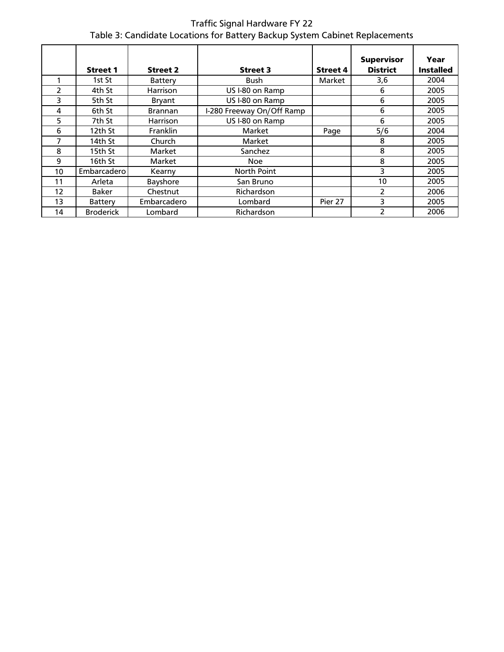Traffic Signal Hardware FY 22 Table 3: Candidate Locations for Battery Backup System Cabinet Replacements

|    |                  |                 |                           |                 |                                      | Year             |
|----|------------------|-----------------|---------------------------|-----------------|--------------------------------------|------------------|
|    | <b>Street 1</b>  | <b>Street 2</b> | <b>Street 3</b>           | <b>Street 4</b> | <b>Supervisor</b><br><b>District</b> | <b>Installed</b> |
|    |                  |                 |                           |                 |                                      |                  |
|    | 1st St           | Battery         | Bush                      | Market          | 3,6                                  | 2004             |
| 2  | 4th St           | <b>Harrison</b> | US I-80 on Ramp           |                 | 6                                    | 2005             |
| 3  | 5th St           | Bryant          | US I-80 on Ramp           |                 | 6                                    | 2005             |
| 4  | 6th St           | <b>Brannan</b>  | I-280 Freeway On/Off Ramp |                 | 6                                    | 2005             |
| 5  | 7th St           | <b>Harrison</b> | US I-80 on Ramp           |                 | 6                                    | 2005             |
| 6  | 12th St          | Franklin        | Market                    | Page            | 5/6                                  | 2004             |
| 7  | 14th St          | Church          | Market                    |                 | 8                                    | 2005             |
| 8  | 15th St          | Market          | Sanchez                   |                 | 8                                    | 2005             |
| 9  | 16th St          | Market          | Noe                       |                 | 8                                    | 2005             |
| 10 | Embarcaderol     | Kearny          | North Point               |                 | 3                                    | 2005             |
| 11 | Arleta           | Bayshore        | San Bruno                 |                 | 10                                   | 2005             |
| 12 | <b>Baker</b>     | Chestnut        | Richardson                |                 | $\mathcal{P}$                        | 2006             |
| 13 | Battery          | Embarcadero     | Lombard                   | Pier 27         | 3                                    | 2005             |
| 14 | <b>Broderick</b> | Lombard         | Richardson                |                 | 2                                    | 2006             |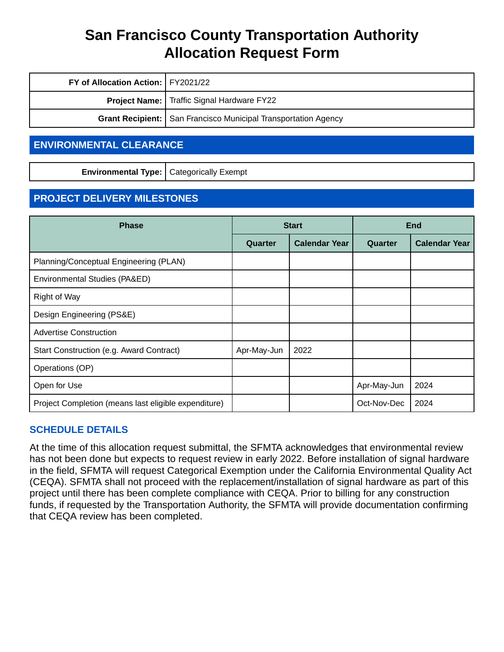| FY of Allocation Action:   FY2021/22 |                                                                  |
|--------------------------------------|------------------------------------------------------------------|
|                                      | <b>Project Name:</b>   Traffic Signal Hardware FY22              |
|                                      | Grant Recipient:   San Francisco Municipal Transportation Agency |

#### **ENVIRONMENTAL CLEARANCE**

**Environmental Type:** Categorically Exempt

### **PROJECT DELIVERY MILESTONES**

| <b>Phase</b>                                         | <b>Start</b> |                      | <b>End</b>  |                      |
|------------------------------------------------------|--------------|----------------------|-------------|----------------------|
|                                                      | Quarter      | <b>Calendar Year</b> | Quarter     | <b>Calendar Year</b> |
| Planning/Conceptual Engineering (PLAN)               |              |                      |             |                      |
| Environmental Studies (PA&ED)                        |              |                      |             |                      |
| Right of Way                                         |              |                      |             |                      |
| Design Engineering (PS&E)                            |              |                      |             |                      |
| <b>Advertise Construction</b>                        |              |                      |             |                      |
| Start Construction (e.g. Award Contract)             | Apr-May-Jun  | 2022                 |             |                      |
| Operations (OP)                                      |              |                      |             |                      |
| Open for Use                                         |              |                      | Apr-May-Jun | 2024                 |
| Project Completion (means last eligible expenditure) |              |                      | Oct-Nov-Dec | 2024                 |

#### **SCHEDULE DETAILS**

At the time of this allocation request submittal, the SFMTA acknowledges that environmental review has not been done but expects to request review in early 2022. Before installation of signal hardware in the field, SFMTA will request Categorical Exemption under the California Environmental Quality Act (CEQA). SFMTA shall not proceed with the replacement/installation of signal hardware as part of this project until there has been complete compliance with CEQA. Prior to billing for any construction funds, if requested by the Transportation Authority, the SFMTA will provide documentation confirming that CEQA review has been completed.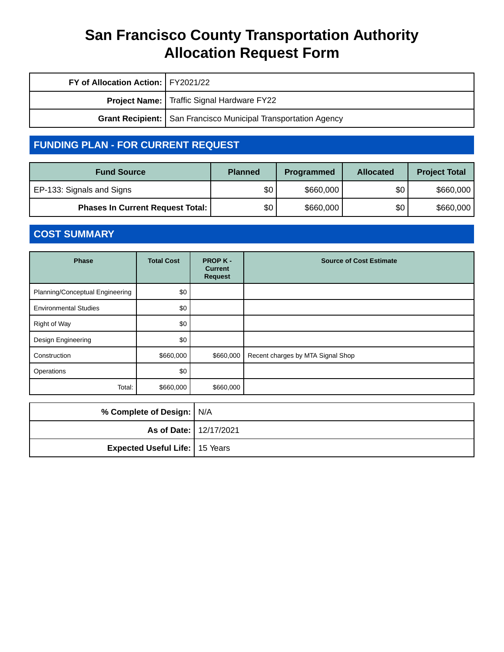| FY of Allocation Action:   FY2021/22 |                                                                  |
|--------------------------------------|------------------------------------------------------------------|
|                                      | Project Name:   Traffic Signal Hardware FY22                     |
|                                      | Grant Recipient:   San Francisco Municipal Transportation Agency |

### **FUNDING PLAN - FOR CURRENT REQUEST**

| <b>Fund Source</b>                      | <b>Planned</b> | <b>Programmed</b> | <b>Allocated</b> | <b>Project Total</b> |
|-----------------------------------------|----------------|-------------------|------------------|----------------------|
| EP-133: Signals and Signs               | \$0            | \$660,000         | \$0              | \$660,000            |
| <b>Phases In Current Request Total:</b> | \$0            | \$660,000         | \$0              | \$660,000            |

### **COST SUMMARY**

| <b>Phase</b>                    | <b>Total Cost</b> | <b>PROP K-</b><br><b>Current</b><br><b>Request</b> | <b>Source of Cost Estimate</b>    |
|---------------------------------|-------------------|----------------------------------------------------|-----------------------------------|
| Planning/Conceptual Engineering | \$0               |                                                    |                                   |
| <b>Environmental Studies</b>    | \$0               |                                                    |                                   |
| Right of Way                    | \$0               |                                                    |                                   |
| Design Engineering              | \$0               |                                                    |                                   |
| Construction                    | \$660,000         | \$660,000                                          | Recent charges by MTA Signal Shop |
| Operations                      | \$0               |                                                    |                                   |
| Total:                          | \$660,000         | \$660,000                                          |                                   |

| % Complete of Design: N/A             |  |
|---------------------------------------|--|
| As of Date: 12/17/2021                |  |
| <b>Expected Useful Life:</b> 15 Years |  |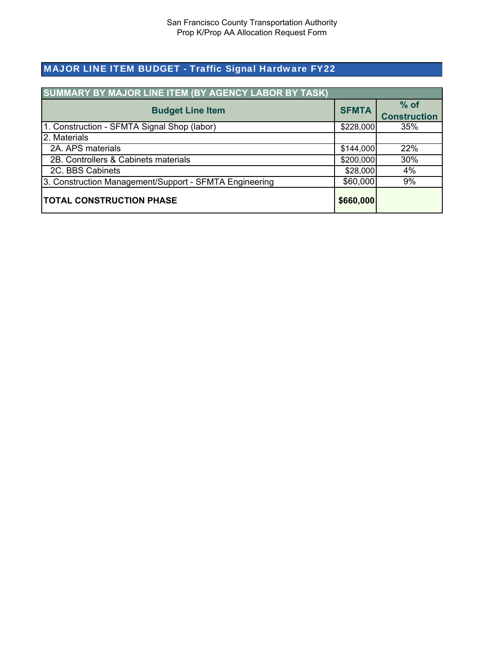### MAJOR LINE ITEM BUDGET - Traffic Signal Hardware FY22

| <b>SUMMARY BY MAJOR LINE ITEM (BY AGENCY LABOR BY TASK)</b> |           |                               |
|-------------------------------------------------------------|-----------|-------------------------------|
| <b>Budget Line Item</b>                                     |           | $%$ of<br><b>Construction</b> |
| 1. Construction - SFMTA Signal Shop (labor)                 | \$228,000 | 35%                           |
| 2. Materials                                                |           |                               |
| 2A. APS materials                                           | \$144,000 | 22%                           |
| 2B. Controllers & Cabinets materials                        | \$200,000 | 30%                           |
| 2C. BBS Cabinets                                            | \$28,000  | 4%                            |
| 3. Construction Management/Support - SFMTA Engineering      | \$60,000  | 9%                            |
| <b>TOTAL CONSTRUCTION PHASE</b>                             | \$660,000 |                               |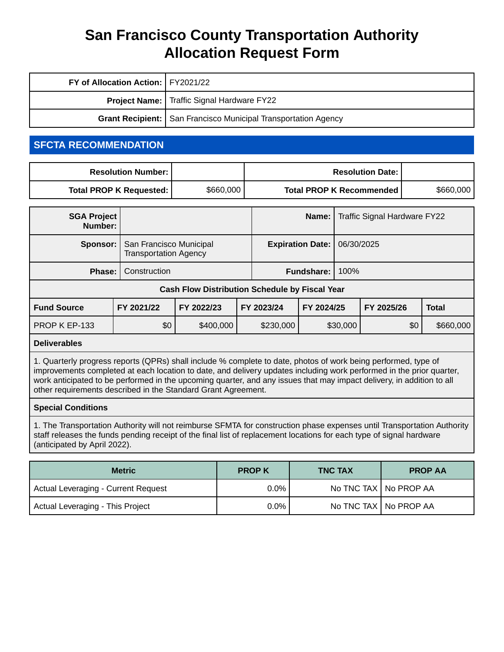| FY of Allocation Action:   FY2021/22                                    |  |
|-------------------------------------------------------------------------|--|
| <b>Project Name:</b>   Traffic Signal Hardware FY22                     |  |
| <b>Grant Recipient:   San Francisco Municipal Transportation Agency</b> |  |

#### **SFCTA RECOMMENDATION**

| <b>Resolution Number: I</b> |           | <b>Resolution Date: I</b>       |           |
|-----------------------------|-----------|---------------------------------|-----------|
| Total PROP K Requested:     | \$660,000 | <b>Total PROP K Recommended</b> | \$660,000 |

| <b>SGA Project</b><br>Number:                         |                                                         |            |            |                                       | Name:             |            | Traffic Signal Hardware FY22 |              |           |
|-------------------------------------------------------|---------------------------------------------------------|------------|------------|---------------------------------------|-------------------|------------|------------------------------|--------------|-----------|
| Sponsor:                                              | San Francisco Municipal<br><b>Transportation Agency</b> |            |            | 06/30/2025<br><b>Expiration Date:</b> |                   |            |                              |              |           |
| Phase:                                                | Construction                                            |            |            |                                       | <b>Fundshare:</b> | 100%       |                              |              |           |
| <b>Cash Flow Distribution Schedule by Fiscal Year</b> |                                                         |            |            |                                       |                   |            |                              |              |           |
| <b>Fund Source</b>                                    | FY 2021/22                                              | FY 2022/23 | FY 2023/24 | FY 2024/25                            |                   | FY 2025/26 |                              | <b>Total</b> |           |
| PROP K EP-133                                         | \$0                                                     | \$400,000  |            | \$230,000                             |                   | \$30,000   |                              | \$0          | \$660,000 |

#### **Deliverables**

1. Quarterly progress reports (QPRs) shall include % complete to date, photos of work being performed, type of improvements completed at each location to date, and delivery updates including work performed in the prior quarter, work anticipated to be performed in the upcoming quarter, and any issues that may impact delivery, in addition to all other requirements described in the Standard Grant Agreement.

#### **Special Conditions**

1. The Transportation Authority will not reimburse SFMTA for construction phase expenses until Transportation Authority staff releases the funds pending receipt of the final list of replacement locations for each type of signal hardware (anticipated by April 2022).

| <b>Metric</b>                              | <b>PROP K</b> | <b>TNC TAX</b> | <b>PROP AA</b>          |
|--------------------------------------------|---------------|----------------|-------------------------|
| <b>Actual Leveraging - Current Request</b> | 0.0%          |                | No TNC TAX   No PROP AA |
| Actual Leveraging - This Project           | 0.0%          |                | No TNC TAX   No PROP AA |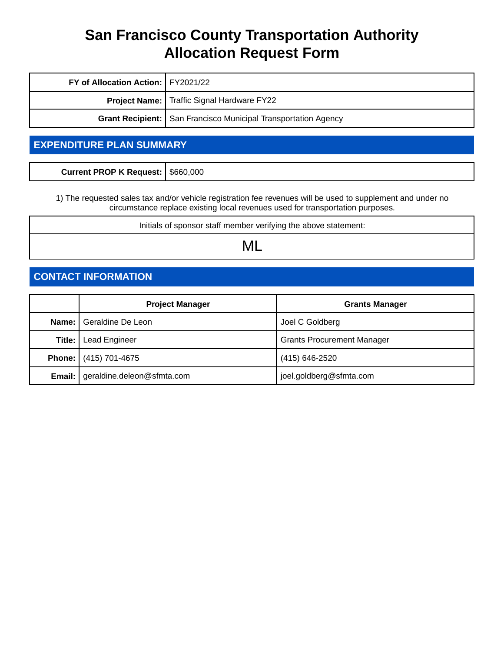| FY of Allocation Action:   FY2021/22                             |                                                     |  |
|------------------------------------------------------------------|-----------------------------------------------------|--|
|                                                                  | <b>Project Name:</b>   Traffic Signal Hardware FY22 |  |
| Grant Recipient:   San Francisco Municipal Transportation Agency |                                                     |  |

### **EXPENDITURE PLAN SUMMARY**

| Current PROP K Request: \$660,000 |  |
|-----------------------------------|--|
|                                   |  |

1) The requested sales tax and/or vehicle registration fee revenues will be used to supplement and under no circumstance replace existing local revenues used for transportation purposes.

Initials of sponsor staff member verifying the above statement:

ML

### **CONTACT INFORMATION**

|        | <b>Project Manager</b>                     | <b>Grants Manager</b>             |
|--------|--------------------------------------------|-----------------------------------|
|        | Name:   Geraldine De Leon                  | Joel C Goldberg                   |
| Title: | <b>Lead Engineer</b>                       | <b>Grants Procurement Manager</b> |
|        | <b>Phone:</b> (415) 701-4675               | (415) 646-2520                    |
|        | <b>Email:</b>   geraldine.deleon@sfmta.com | joel.goldberg@sfmta.com           |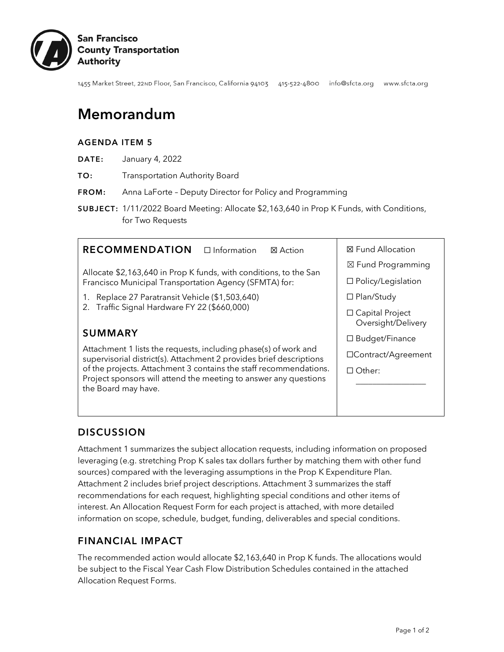

1455 Market Street, 22ND Floor, San Francisco, California 94103 415-522-4800 info@sfcta.org www.sfcta.org

## Memorandum

#### AGENDA ITEM 5

- DATE: January 4, 2022
- TO: Transportation Authority Board
- FROM: Anna LaForte Deputy Director for Policy and Programming
- SUBJECT: 1/11/2022 Board Meeting: Allocate \$2,163,640 in Prop K Funds, with Conditions, for Two Requests



#### **DISCUSSION**

Attachment 1 summarizes the subject allocation requests, including information on proposed leveraging (e.g. stretching Prop K sales tax dollars further by matching them with other fund sources) compared with the leveraging assumptions in the Prop K Expenditure Plan. Attachment 2 includes brief project descriptions. Attachment 3 summarizes the staff recommendations for each request, highlighting special conditions and other items of interest. An Allocation Request Form for each project is attached, with more detailed information on scope, schedule, budget, funding, deliverables and special conditions.

#### FINANCIAL IMPACT

The recommended action would allocate \$2,163,640 in Prop K funds. The allocations would be subject to the Fiscal Year Cash Flow Distribution Schedules contained in the attached Allocation Request Forms.